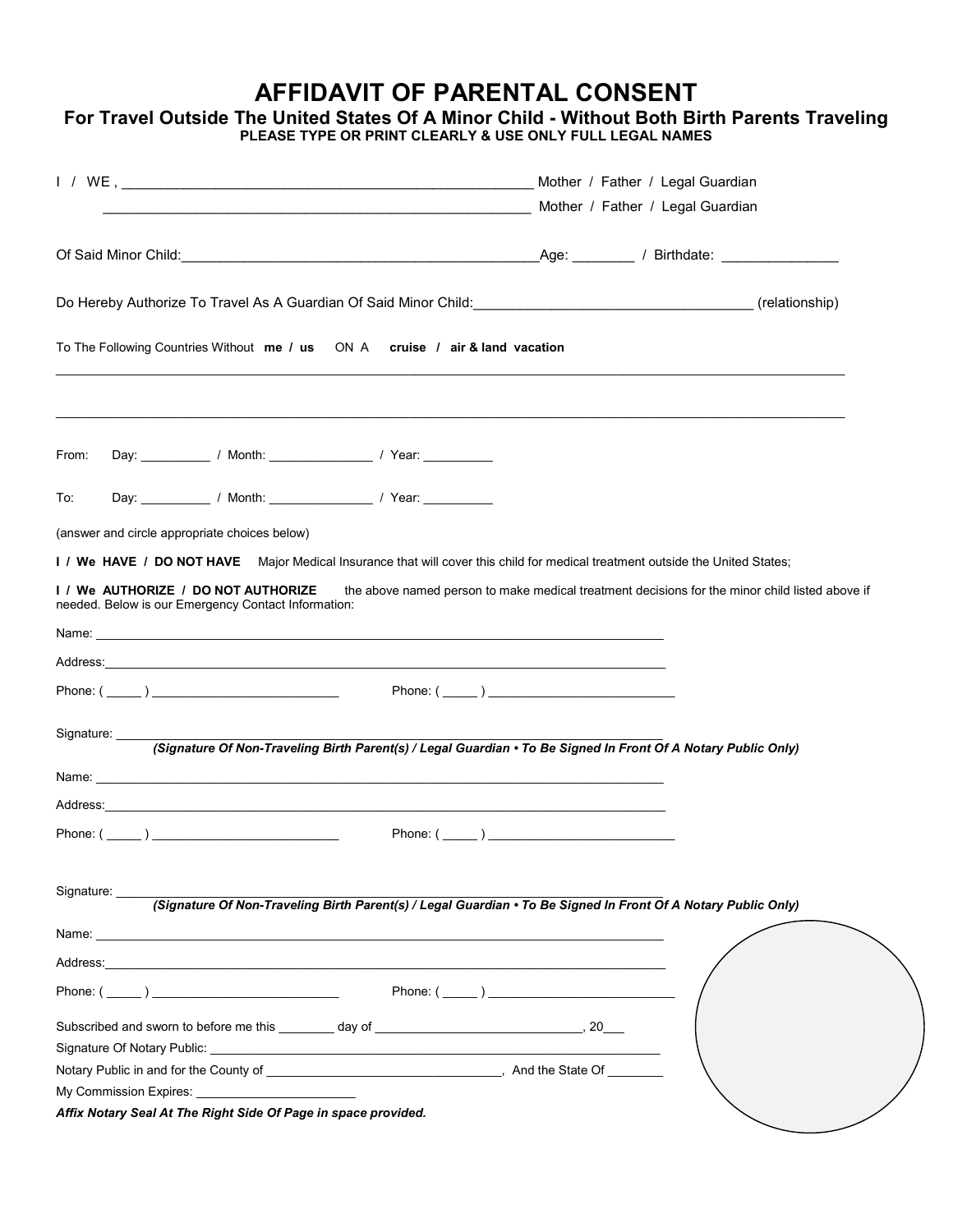## **AFFIDAVIT OF PARENTAL CONSENT**

## **For Travel Outside The United States Of A Minor Child - Without Both Birth Parents Traveling PLEASE TYPE OR PRINT CLEARLY & USE ONLY FULL LEGAL NAMES**

|                                                                                                                                                                                                                                | Mother / Father / Legal Guardian                                                               |
|--------------------------------------------------------------------------------------------------------------------------------------------------------------------------------------------------------------------------------|------------------------------------------------------------------------------------------------|
|                                                                                                                                                                                                                                |                                                                                                |
|                                                                                                                                                                                                                                |                                                                                                |
| Do Hereby Authorize To Travel As A Guardian Of Said Minor Child: \\esp \\esp \\esp \\esp \\esp \\esp \\esp \\esp \\esp \\esp \\esp \\esp \\esp \\esp \\esp \\esp \\esp \\esp \\esp \\esp \\esp \\esp \\esp \\esp \\esp \\esp \ |                                                                                                |
| To The Following Countries Without me / us ON A cruise / air & land vacation                                                                                                                                                   |                                                                                                |
|                                                                                                                                                                                                                                |                                                                                                |
| From:<br>Day: ______________/ Month: ____________________/ Year: ______________                                                                                                                                                |                                                                                                |
| Day: _______________/ Month: ______________________/ Year: _____________________<br>To:                                                                                                                                        |                                                                                                |
| (answer and circle appropriate choices below)                                                                                                                                                                                  |                                                                                                |
| I / We HAVE / DO NOT HAVE Major Medical Insurance that will cover this child for medical treatment outside the United States;                                                                                                  |                                                                                                |
| I / We AUTHORIZE / DO NOT AUTHORIZE<br>needed. Below is our Emergency Contact Information:                                                                                                                                     | the above named person to make medical treatment decisions for the minor child listed above if |
|                                                                                                                                                                                                                                |                                                                                                |
|                                                                                                                                                                                                                                |                                                                                                |
| Phone: $(\_\_)$                                                                                                                                                                                                                |                                                                                                |
| Signature:<br>(Signature Of Non-Traveling Birth Parent(s) / Legal Guardian . To Be Signed In Front Of A Notary Public Only)                                                                                                    |                                                                                                |
|                                                                                                                                                                                                                                |                                                                                                |
|                                                                                                                                                                                                                                |                                                                                                |
| Phone: $(\_\_)$                                                                                                                                                                                                                | Phone: $(\_\_)$                                                                                |
|                                                                                                                                                                                                                                |                                                                                                |
| (Signature Of Non-Traveling Birth Parent(s) / Legal Guardian . To Be Signed In Front Of A Notary Public Only)                                                                                                                  |                                                                                                |
|                                                                                                                                                                                                                                |                                                                                                |
|                                                                                                                                                                                                                                |                                                                                                |
| Signature:<br>Phone: $(\_\_)$                                                                                                                                                                                                  |                                                                                                |
|                                                                                                                                                                                                                                |                                                                                                |
|                                                                                                                                                                                                                                |                                                                                                |
| My Commission Expires: No. 2014                                                                                                                                                                                                |                                                                                                |